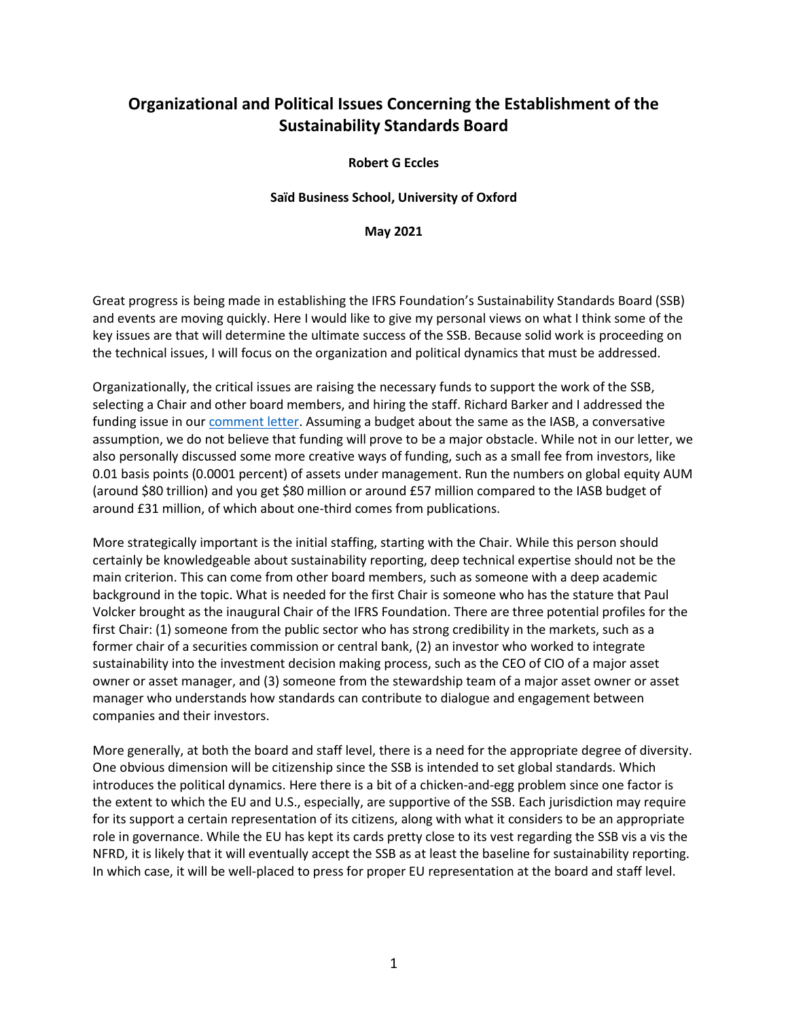## **Organizational and Political Issues Concerning the Establishment of the Sustainability Standards Board**

## **Robert G Eccles**

## **Saïd Business School, University of Oxford**

## **May 2021**

Great progress is being made in establishing the IFRS Foundation's Sustainability Standards Board (SSB) and events are moving quickly. Here I would like to give my personal views on what I think some of the key issues are that will determine the ultimate success of the SSB. Because solid work is proceeding on the technical issues, I will focus on the organization and political dynamics that must be addressed.

Organizationally, the critical issues are raising the necessary funds to support the work of the SSB, selecting a Chair and other board members, and hiring the staff. Richard Barker and I addressed the funding issue in our [comment letter.](http://eifrs.ifrs.org/eifrs/comment_letters/570/570_27802_RichardBarkerRichardBarkerBobEccles_0_IFRSQuestionsforconsultationBarkerandEccles31Dec2020.pdf) Assuming a budget about the same as the IASB, a conversative assumption, we do not believe that funding will prove to be a major obstacle. While not in our letter, we also personally discussed some more creative ways of funding, such as a small fee from investors, like 0.01 basis points (0.0001 percent) of assets under management. Run the numbers on global equity AUM (around \$80 trillion) and you get \$80 million or around £57 million compared to the IASB budget of around £31 million, of which about one-third comes from publications.

More strategically important is the initial staffing, starting with the Chair. While this person should certainly be knowledgeable about sustainability reporting, deep technical expertise should not be the main criterion. This can come from other board members, such as someone with a deep academic background in the topic. What is needed for the first Chair is someone who has the stature that Paul Volcker brought as the inaugural Chair of the IFRS Foundation. There are three potential profiles for the first Chair: (1) someone from the public sector who has strong credibility in the markets, such as a former chair of a securities commission or central bank, (2) an investor who worked to integrate sustainability into the investment decision making process, such as the CEO of CIO of a major asset owner or asset manager, and (3) someone from the stewardship team of a major asset owner or asset manager who understands how standards can contribute to dialogue and engagement between companies and their investors.

More generally, at both the board and staff level, there is a need for the appropriate degree of diversity. One obvious dimension will be citizenship since the SSB is intended to set global standards. Which introduces the political dynamics. Here there is a bit of a chicken-and-egg problem since one factor is the extent to which the EU and U.S., especially, are supportive of the SSB. Each jurisdiction may require for its support a certain representation of its citizens, along with what it considers to be an appropriate role in governance. While the EU has kept its cards pretty close to its vest regarding the SSB vis a vis the NFRD, it is likely that it will eventually accept the SSB as at least the baseline for sustainability reporting. In which case, it will be well-placed to press for proper EU representation at the board and staff level.